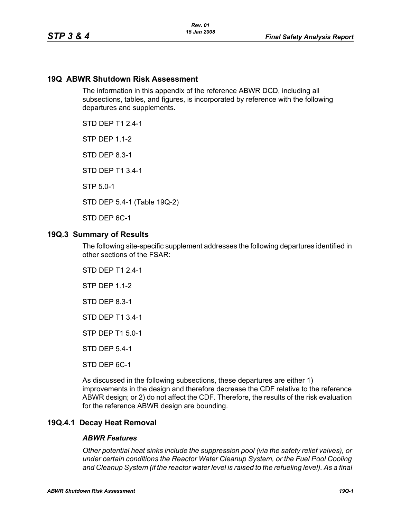# **19Q ABWR Shutdown Risk Assessment**

The information in this appendix of the reference ABWR DCD, including all subsections, tables, and figures, is incorporated by reference with the following departures and supplements.

STD DEP T1 2.4-1

**STP DFP 1 1-2** 

STD DEP 8.3-1

STD DEP T1 3.4-1

STP 5.0-1

STD DEP 5.4-1 (Table 19Q-2)

STD DEP 6C-1

### **19Q.3 Summary of Results**

The following site-specific supplement addresses the following departures identified in other sections of the FSAR:

STD DEP T1 2.4-1

STP DEP 1.1-2

STD DEP 8.3-1

STD DEP T1 3.4-1

STP DEP T1 5.0-1

STD DEP 5.4-1

STD DEP 6C-1

As discussed in the following subsections, these departures are either 1) improvements in the design and therefore decrease the CDF relative to the reference ABWR design; or 2) do not affect the CDF. Therefore, the results of the risk evaluation for the reference ABWR design are bounding.

# **19Q.4.1 Decay Heat Removal**

#### *ABWR Features*

*Other potential heat sinks include the suppression pool (via the safety relief valves), or under certain conditions the Reactor Water Cleanup System, or the Fuel Pool Cooling*  and Cleanup System (if the reactor water level is raised to the refueling level). As a final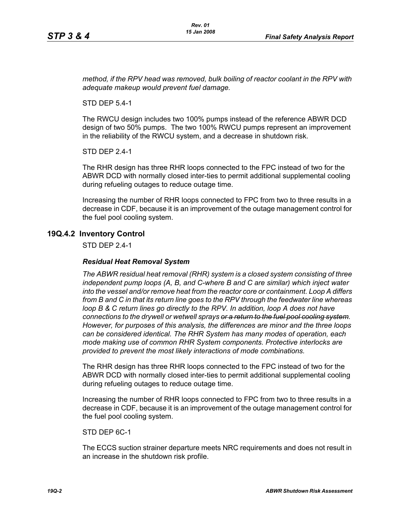*method, if the RPV head was removed, bulk boiling of reactor coolant in the RPV with adequate makeup would prevent fuel damage.*

STD DEP 5.4-1

The RWCU design includes two 100% pumps instead of the reference ABWR DCD design of two 50% pumps. The two 100% RWCU pumps represent an improvement in the reliability of the RWCU system, and a decrease in shutdown risk.

STD DEP 2.4-1

The RHR design has three RHR loops connected to the FPC instead of two for the ABWR DCD with normally closed inter-ties to permit additional supplemental cooling during refueling outages to reduce outage time.

Increasing the number of RHR loops connected to FPC from two to three results in a decrease in CDF, because it is an improvement of the outage management control for the fuel pool cooling system.

## **19Q.4.2 Inventory Control**

STD DEP 2.4-1

#### *Residual Heat Removal System*

*The ABWR residual heat removal (RHR) system is a closed system consisting of three independent pump loops (A, B, and C-where B and C are similar) which inject water into the vessel and/or remove heat from the reactor core or containment. Loop A differs from B and C in that its return line goes to the RPV through the feedwater line whereas loop B & C return lines go directly to the RPV. In addition, loop A does not have connections to the drywell or wetwell sprays or a return to the fuel pool cooling system. However, for purposes of this analysis, the differences are minor and the three loops can be considered identical. The RHR System has many modes of operation, each mode making use of common RHR System components. Protective interlocks are provided to prevent the most likely interactions of mode combinations.*

The RHR design has three RHR loops connected to the FPC instead of two for the ABWR DCD with normally closed inter-ties to permit additional supplemental cooling during refueling outages to reduce outage time.

Increasing the number of RHR loops connected to FPC from two to three results in a decrease in CDF, because it is an improvement of the outage management control for the fuel pool cooling system.

STD DEP 6C-1

The ECCS suction strainer departure meets NRC requirements and does not result in an increase in the shutdown risk profile.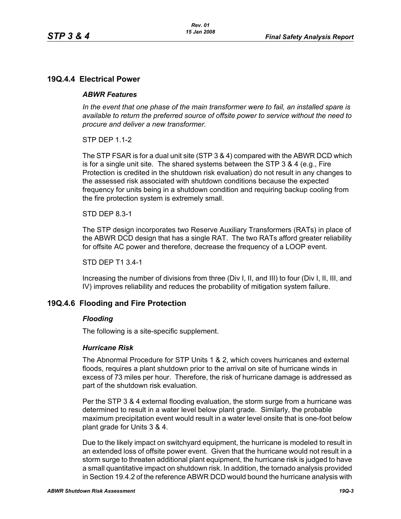# **19Q.4.4 Electrical Power**

### *ABWR Features*

*In the event that one phase of the main transformer were to fail, an installed spare is available to return the preferred source of offsite power to service without the need to procure and deliver a new transformer.*

STP DEP 1.1-2

The STP FSAR is for a dual unit site (STP 3 & 4) compared with the ABWR DCD which is for a single unit site. The shared systems between the STP 3 & 4 (e.g., Fire Protection is credited in the shutdown risk evaluation) do not result in any changes to the assessed risk associated with shutdown conditions because the expected frequency for units being in a shutdown condition and requiring backup cooling from the fire protection system is extremely small.

### STD DEP 8.3-1

The STP design incorporates two Reserve Auxiliary Transformers (RATs) in place of the ABWR DCD design that has a single RAT. The two RATs afford greater reliability for offsite AC power and therefore, decrease the frequency of a LOOP event.

#### STD DEP T1 3.4-1

Increasing the number of divisions from three (Div I, II, and III) to four (Div I, II, III, and IV) improves reliability and reduces the probability of mitigation system failure.

## **19Q.4.6 Flooding and Fire Protection**

#### *Flooding*

The following is a site-specific supplement.

#### *Hurricane Risk*

The Abnormal Procedure for STP Units 1 & 2, which covers hurricanes and external floods, requires a plant shutdown prior to the arrival on site of hurricane winds in excess of 73 miles per hour. Therefore, the risk of hurricane damage is addressed as part of the shutdown risk evaluation.

Per the STP 3 & 4 external flooding evaluation, the storm surge from a hurricane was determined to result in a water level below plant grade. Similarly, the probable maximum precipitation event would result in a water level onsite that is one-foot below plant grade for Units 3 & 4.

Due to the likely impact on switchyard equipment, the hurricane is modeled to result in an extended loss of offsite power event. Given that the hurricane would not result in a storm surge to threaten additional plant equipment, the hurricane risk is judged to have a small quantitative impact on shutdown risk. In addition, the tornado analysis provided in Section 19.4.2 of the reference ABWR DCD would bound the hurricane analysis with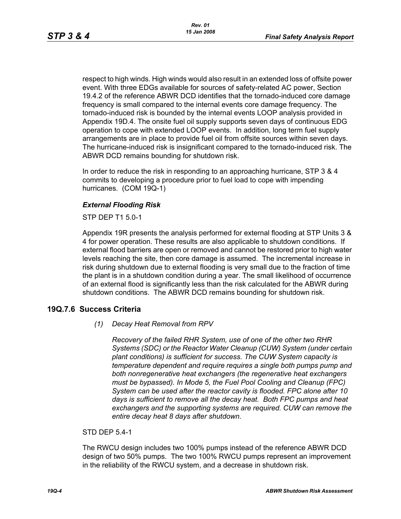respect to high winds. High winds would also result in an extended loss of offsite power event. With three EDGs available for sources of safety-related AC power, Section 19.4.2 of the reference ABWR DCD identifies that the tornado-induced core damage frequency is small compared to the internal events core damage frequency. The tornado-induced risk is bounded by the internal events LOOP analysis provided in Appendix 19D.4. The onsite fuel oil supply supports seven days of continuous EDG operation to cope with extended LOOP events. In addition, long term fuel supply arrangements are in place to provide fuel oil from offsite sources within seven days. The hurricane-induced risk is insignificant compared to the tornado-induced risk. The ABWR DCD remains bounding for shutdown risk.

In order to reduce the risk in responding to an approaching hurricane, STP 3 & 4 commits to developing a procedure prior to fuel load to cope with impending hurricanes. (COM 19Q-1)

# *External Flooding Risk*

STP DEP T1 5.0-1

Appendix 19R presents the analysis performed for external flooding at STP Units 3 & 4 for power operation. These results are also applicable to shutdown conditions. If external flood barriers are open or removed and cannot be restored prior to high water levels reaching the site, then core damage is assumed. The incremental increase in risk during shutdown due to external flooding is very small due to the fraction of time the plant is in a shutdown condition during a year. The small likelihood of occurrence of an external flood is significantly less than the risk calculated for the ABWR during shutdown conditions. The ABWR DCD remains bounding for shutdown risk.

# **19Q.7.6 Success Criteria**

*(1) Decay Heat Removal from RPV*

*Recovery of the failed RHR System, use of one of the other two RHR Systems (SDC) or the Reactor Water Cleanup (CUW) System (under certain plant conditions) is sufficient for success. The CUW System capacity is temperature dependent and require requires a single both pumps pump and both nonregenerative heat exchangers (the regenerative heat exchangers must be bypassed). In Mode 5, the Fuel Pool Cooling and Cleanup (FPC) System can be used after the reactor cavity is flooded. FPC alone after 10 days is sufficient to remove all the decay heat. Both FPC pumps and heat exchangers and the supporting systems are required. CUW can remove the entire decay heat 8 days after shutdown.*

#### STD DEP 5.4-1

The RWCU design includes two 100% pumps instead of the reference ABWR DCD design of two 50% pumps. The two 100% RWCU pumps represent an improvement in the reliability of the RWCU system, and a decrease in shutdown risk.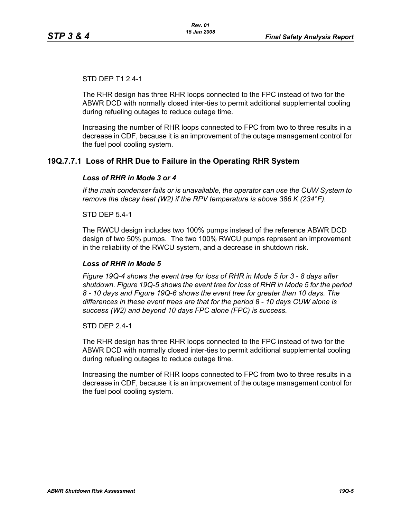## STD DEP T1 2.4-1

The RHR design has three RHR loops connected to the FPC instead of two for the ABWR DCD with normally closed inter-ties to permit additional supplemental cooling during refueling outages to reduce outage time.

Increasing the number of RHR loops connected to FPC from two to three results in a decrease in CDF, because it is an improvement of the outage management control for the fuel pool cooling system.

# **19Q.7.7.1 Loss of RHR Due to Failure in the Operating RHR System**

### *Loss of RHR in Mode 3 or 4*

*If the main condenser fails or is unavailable, the operator can use the CUW System to remove the decay heat (W2) if the RPV temperature is above 386 K (234°F).*

STD DEP 5.4-1

The RWCU design includes two 100% pumps instead of the reference ABWR DCD design of two 50% pumps. The two 100% RWCU pumps represent an improvement in the reliability of the RWCU system, and a decrease in shutdown risk.

#### *Loss of RHR in Mode 5*

*Figure 19Q-4 shows the event tree for loss of RHR in Mode 5 for 3 - 8 days after shutdown. Figure 19Q-5 shows the event tree for loss of RHR in Mode 5 for the period 8 - 10 days and Figure 19Q-6 shows the event tree for greater than 10 days. The differences in these event trees are that for the period 8 - 10 days CUW alone is success (W2) and beyond 10 days FPC alone (FPC) is success.*

STD DFP 24-1

The RHR design has three RHR loops connected to the FPC instead of two for the ABWR DCD with normally closed inter-ties to permit additional supplemental cooling during refueling outages to reduce outage time.

Increasing the number of RHR loops connected to FPC from two to three results in a decrease in CDF, because it is an improvement of the outage management control for the fuel pool cooling system.